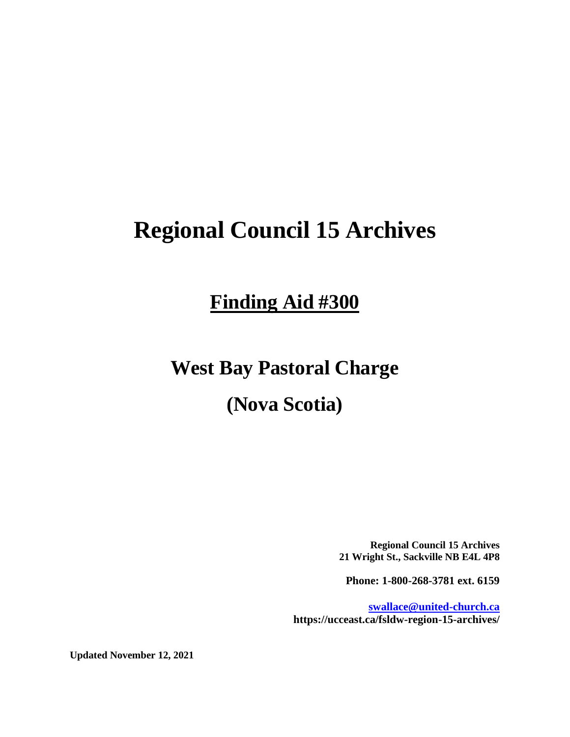# **Regional Council 15 Archives**

# **Finding Aid #300**

## **West Bay Pastoral Charge**

## **(Nova Scotia)**

**Regional Council 15 Archives 21 Wright St., Sackville NB E4L 4P8**

**Phone: 1-800-268-3781 ext. 6159**

**[swallace@united-church.ca](mailto:swallace@united-church.ca) https://ucceast.ca/fsldw-region-15-archives/**

**Updated November 12, 2021**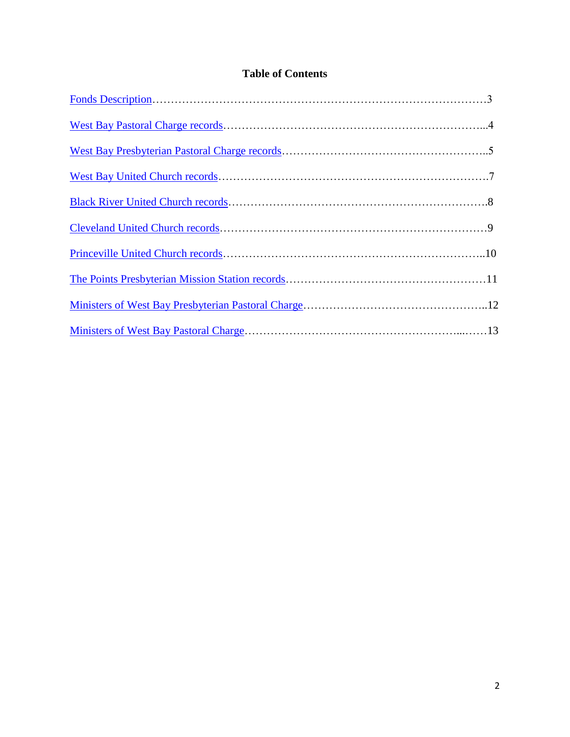## **Table of Contents**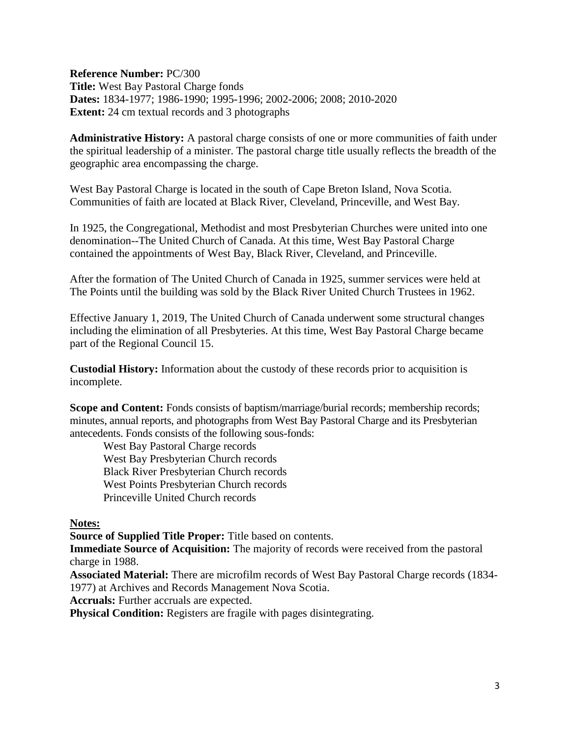<span id="page-2-0"></span>**Reference Number:** PC/300 **Title:** West Bay Pastoral Charge fonds **Dates:** 1834-1977; 1986-1990; 1995-1996; 2002-2006; 2008; 2010-2020 **Extent:** 24 cm textual records and 3 photographs

**Administrative History:** A pastoral charge consists of one or more communities of faith under the spiritual leadership of a minister. The pastoral charge title usually reflects the breadth of the geographic area encompassing the charge.

West Bay Pastoral Charge is located in the south of Cape Breton Island, Nova Scotia. Communities of faith are located at Black River, Cleveland, Princeville, and West Bay.

In 1925, the Congregational, Methodist and most Presbyterian Churches were united into one denomination--The United Church of Canada. At this time, West Bay Pastoral Charge contained the appointments of West Bay, Black River, Cleveland, and Princeville.

After the formation of The United Church of Canada in 1925, summer services were held at The Points until the building was sold by the Black River United Church Trustees in 1962.

Effective January 1, 2019, The United Church of Canada underwent some structural changes including the elimination of all Presbyteries. At this time, West Bay Pastoral Charge became part of the Regional Council 15.

**Custodial History:** Information about the custody of these records prior to acquisition is incomplete.

**Scope and Content:** Fonds consists of baptism/marriage/burial records; membership records; minutes, annual reports, and photographs from West Bay Pastoral Charge and its Presbyterian antecedents. Fonds consists of the following sous-fonds:

West Bay Pastoral Charge records West Bay Presbyterian Church records Black River Presbyterian Church records West Points Presbyterian Church records Princeville United Church records

**Notes:** 

**Source of Supplied Title Proper:** Title based on contents.

**Immediate Source of Acquisition:** The majority of records were received from the pastoral charge in 1988.

**Associated Material:** There are microfilm records of West Bay Pastoral Charge records (1834- 1977) at Archives and Records Management Nova Scotia.

**Accruals:** Further accruals are expected.

**Physical Condition:** Registers are fragile with pages disintegrating.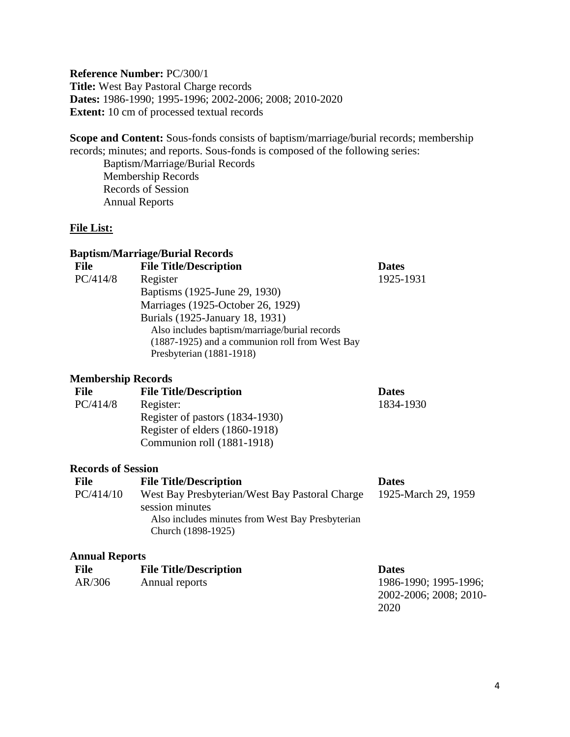#### <span id="page-3-0"></span>**Reference Number:** PC/300/1 **Title:** West Bay Pastoral Charge records **Dates:** 1986-1990; 1995-1996; 2002-2006; 2008; 2010-2020 **Extent:** 10 cm of processed textual records

**Scope and Content:** Sous-fonds consists of baptism/marriage/burial records; membership records; minutes; and reports. Sous-fonds is composed of the following series:

Baptism/Marriage/Burial Records Membership Records Records of Session Annual Reports

### **File List:**

#### **Baptism/Marriage/Burial Records**

| <b>File</b> | <b>File Title/Description</b>                  | <b>Dates</b> |
|-------------|------------------------------------------------|--------------|
| PC/414/8    | Register                                       | 1925-1931    |
|             | Baptisms (1925-June 29, 1930)                  |              |
|             | Marriages (1925-October 26, 1929)              |              |
|             | Burials (1925-January 18, 1931)                |              |
|             | Also includes baptism/marriage/burial records  |              |
|             | (1887-1925) and a communion roll from West Bay |              |
|             | Presbyterian (1881-1918)                       |              |
|             |                                                |              |

#### **Membership Records**

| <b>File</b> | <b>File Title/Description</b>   | <b>Dates</b> |
|-------------|---------------------------------|--------------|
| PC/414/8    | Register:                       | 1834-1930    |
|             | Register of pastors (1834-1930) |              |
|             | Register of elders (1860-1918)  |              |
|             | Communion roll (1881-1918)      |              |
|             |                                 |              |

#### **Records of Session**

| <b>File</b> | <b>File Title/Description</b>                    | <b>Dates</b>        |
|-------------|--------------------------------------------------|---------------------|
| PC/414/10   | West Bay Presbyterian/West Bay Pastoral Charge   | 1925-March 29, 1959 |
|             | session minutes                                  |                     |
|             | Also includes minutes from West Bay Presbyterian |                     |
|             | Church (1898-1925)                               |                     |

#### **Annual Reports**

| File   | <b>File Title/Description</b> | <b>Dates</b>           |
|--------|-------------------------------|------------------------|
| AR/306 | Annual reports                | 1986-1990; 1995-1996;  |
|        |                               | 2002-2006; 2008; 2010- |
|        |                               | 2020                   |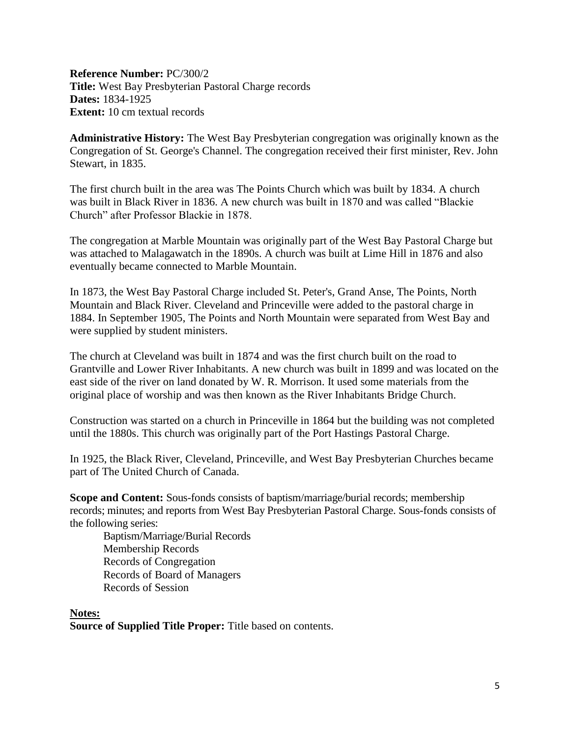<span id="page-4-0"></span>**Reference Number:** PC/300/2 **Title:** West Bay Presbyterian Pastoral Charge records **Dates:** 1834-1925 **Extent:** 10 cm textual records

**Administrative History:** The West Bay Presbyterian congregation was originally known as the Congregation of St. George's Channel. The congregation received their first minister, Rev. John Stewart, in 1835.

The first church built in the area was The Points Church which was built by 1834. A church was built in Black River in 1836. A new church was built in 1870 and was called "Blackie Church" after Professor Blackie in 1878.

The congregation at Marble Mountain was originally part of the West Bay Pastoral Charge but was attached to Malagawatch in the 1890s. A church was built at Lime Hill in 1876 and also eventually became connected to Marble Mountain.

In 1873, the West Bay Pastoral Charge included St. Peter's, Grand Anse, The Points, North Mountain and Black River. Cleveland and Princeville were added to the pastoral charge in 1884. In September 1905, The Points and North Mountain were separated from West Bay and were supplied by student ministers.

The church at Cleveland was built in 1874 and was the first church built on the road to Grantville and Lower River Inhabitants. A new church was built in 1899 and was located on the east side of the river on land donated by W. R. Morrison. It used some materials from the original place of worship and was then known as the River Inhabitants Bridge Church.

Construction was started on a church in Princeville in 1864 but the building was not completed until the 1880s. This church was originally part of the Port Hastings Pastoral Charge.

In 1925, the Black River, Cleveland, Princeville, and West Bay Presbyterian Churches became part of The United Church of Canada.

**Scope and Content:** Sous-fonds consists of baptism/marriage/burial records; membership records; minutes; and reports from West Bay Presbyterian Pastoral Charge. Sous-fonds consists of the following series:

Baptism/Marriage/Burial Records Membership Records Records of Congregation Records of Board of Managers Records of Session

**Notes:** 

**Source of Supplied Title Proper:** Title based on contents.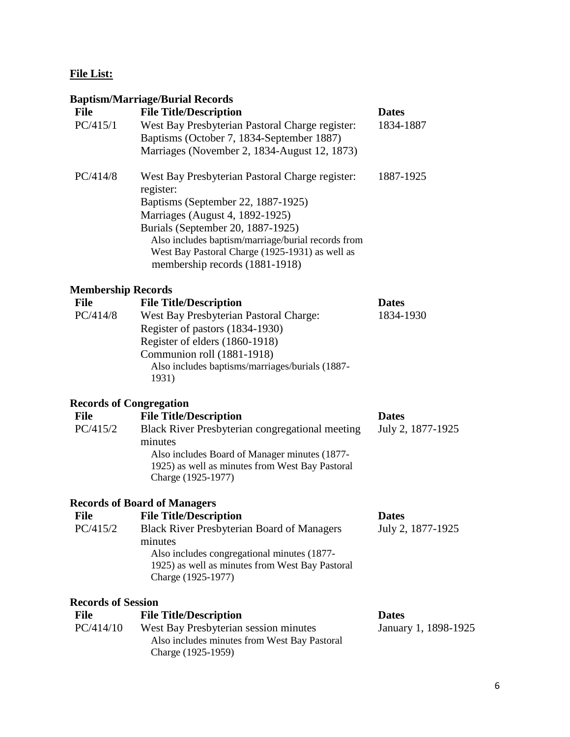## **File List:**

## **Baptism/Marriage/Burial Records**

| <b>File</b> | <b>File Title/Description</b>                                | <b>Dates</b> |
|-------------|--------------------------------------------------------------|--------------|
| PC/415/1    | West Bay Presbyterian Pastoral Charge register:              | 1834-1887    |
|             | Baptisms (October 7, 1834-September 1887)                    |              |
|             | Marriages (November 2, 1834-August 12, 1873)                 |              |
| PC/414/8    | West Bay Presbyterian Pastoral Charge register:<br>register: | 1887-1925    |
|             | Baptisms (September 22, 1887-1925)                           |              |
|             | Marriages (August 4, 1892-1925)                              |              |
|             | Burials (September 20, 1887-1925)                            |              |
|             | Also includes baptism/marriage/burial records from           |              |
|             | West Bay Pastoral Charge (1925-1931) as well as              |              |
|             | membership records (1881-1918)                               |              |

## **Membership Records**

| <b>File</b> | <b>File Title/Description</b>                   | <b>Dates</b> |
|-------------|-------------------------------------------------|--------------|
| PC/414/8    | <b>West Bay Presbyterian Pastoral Charge:</b>   | 1834-1930    |
|             | Register of pastors (1834-1930)                 |              |
|             | Register of elders (1860-1918)                  |              |
|             | Communion roll (1881-1918)                      |              |
|             | Also includes baptisms/marriages/burials (1887- |              |
|             | 1931)                                           |              |
|             |                                                 |              |

### **Records of Congregation**

| File     | <b>File Title/Description</b>                          | <b>Dates</b>      |
|----------|--------------------------------------------------------|-------------------|
| PC/415/2 | <b>Black River Presbyterian congregational meeting</b> | July 2, 1877-1925 |
|          | minutes                                                |                   |
|          | Also includes Board of Manager minutes (1877-          |                   |
|          | 1925) as well as minutes from West Bay Pastoral        |                   |
|          | Charge (1925-1977)                                     |                   |
|          |                                                        |                   |

## **Records of Board of Managers**

| File     | <b>File Title/Description</b>                     | <b>Dates</b>      |
|----------|---------------------------------------------------|-------------------|
| PC/415/2 | <b>Black River Presbyterian Board of Managers</b> | July 2, 1877-1925 |
|          | minutes                                           |                   |
|          | Also includes congregational minutes (1877-       |                   |
|          | 1925) as well as minutes from West Bay Pastoral   |                   |
|          | Charge (1925-1977)                                |                   |
|          |                                                   |                   |

## **Records of Session**

| File      | <b>File Title/Description</b>                | <b>Dates</b>         |
|-----------|----------------------------------------------|----------------------|
| PC/414/10 | West Bay Presbyterian session minutes        | January 1, 1898-1925 |
|           | Also includes minutes from West Bay Pastoral |                      |
|           | Charge (1925-1959)                           |                      |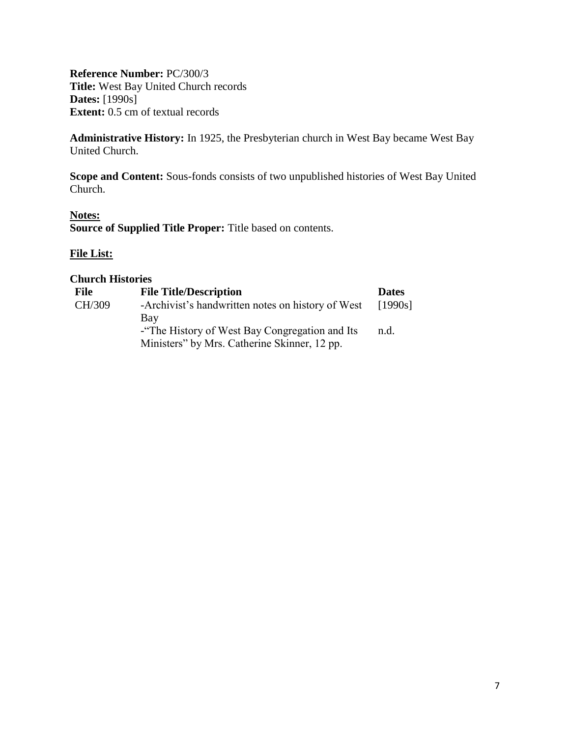<span id="page-6-0"></span>**Reference Number:** PC/300/3 **Title:** West Bay United Church records **Dates:** [1990s] **Extent:** 0.5 cm of textual records

**Administrative History:** In 1925, the Presbyterian church in West Bay became West Bay United Church.

**Scope and Content:** Sous-fonds consists of two unpublished histories of West Bay United Church.

#### **Notes:**

**Source of Supplied Title Proper:** Title based on contents.

#### **File List:**

| <b>File</b> | <b>File Title/Description</b>                     | <b>Dates</b> |
|-------------|---------------------------------------------------|--------------|
| CH/309      | -Archivist's handwritten notes on history of West | [1990s]      |
|             | Bav                                               |              |
|             | - The History of West Bay Congregation and Its    | n.d.         |
|             | Ministers" by Mrs. Catherine Skinner, 12 pp.      |              |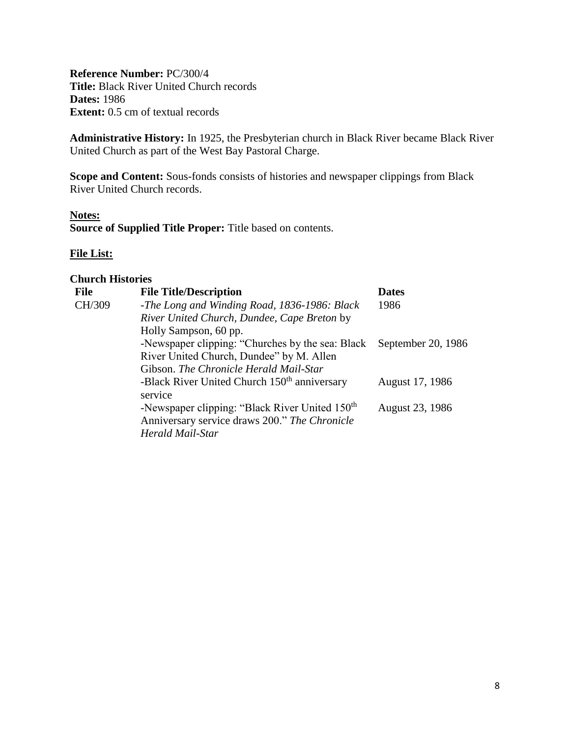<span id="page-7-0"></span>**Reference Number:** PC/300/4 **Title:** Black River United Church records **Dates:** 1986 **Extent:** 0.5 cm of textual records

**Administrative History:** In 1925, the Presbyterian church in Black River became Black River United Church as part of the West Bay Pastoral Charge.

**Scope and Content:** Sous-fonds consists of histories and newspaper clippings from Black River United Church records.

#### **Notes:**

**Source of Supplied Title Proper:** Title based on contents.

#### **File List:**

| File   | <b>File Title/Description</b>                              | <b>Dates</b>       |
|--------|------------------------------------------------------------|--------------------|
| CH/309 | -The Long and Winding Road, 1836-1986: Black               | 1986               |
|        | River United Church, Dundee, Cape Breton by                |                    |
|        | Holly Sampson, 60 pp.                                      |                    |
|        | -Newspaper clipping: "Churches by the sea: Black           | September 20, 1986 |
|        | River United Church, Dundee" by M. Allen                   |                    |
|        | Gibson. The Chronicle Herald Mail-Star                     |                    |
|        | -Black River United Church 150 <sup>th</sup> anniversary   | August 17, 1986    |
|        | service                                                    |                    |
|        | -Newspaper clipping: "Black River United 150 <sup>th</sup> | August 23, 1986    |
|        | Anniversary service draws 200." The Chronicle              |                    |
|        | Herald Mail-Star                                           |                    |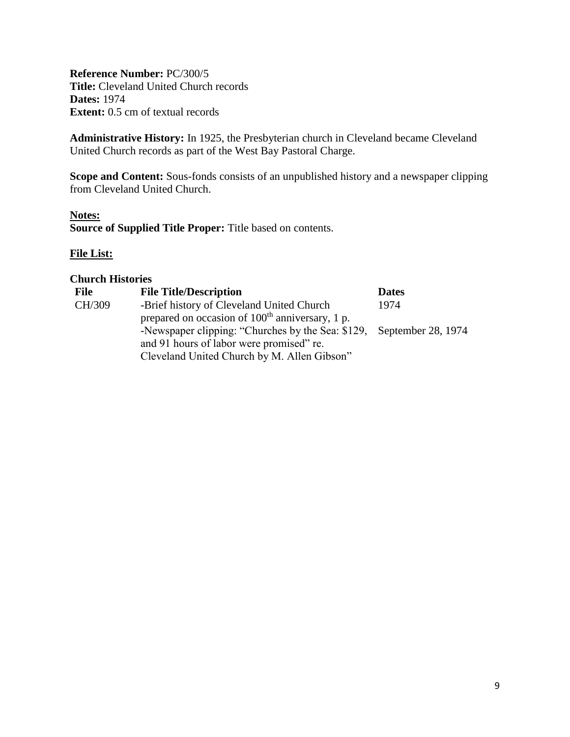<span id="page-8-0"></span>**Reference Number:** PC/300/5 **Title:** Cleveland United Church records **Dates:** 1974 **Extent:** 0.5 cm of textual records

**Administrative History:** In 1925, the Presbyterian church in Cleveland became Cleveland United Church records as part of the West Bay Pastoral Charge.

**Scope and Content:** Sous-fonds consists of an unpublished history and a newspaper clipping from Cleveland United Church.

#### **Notes:**

**Source of Supplied Title Proper:** Title based on contents.

#### **File List:**

| <b>File</b> | <b>File Title/Description</b>                                        | <b>Dates</b> |
|-------------|----------------------------------------------------------------------|--------------|
| CH/309      | -Brief history of Cleveland United Church                            | 1974         |
|             | prepared on occasion of 100 <sup>th</sup> anniversary, 1 p.          |              |
|             | -Newspaper clipping: "Churches by the Sea: \$129, September 28, 1974 |              |
|             | and 91 hours of labor were promised" re.                             |              |
|             | Cleveland United Church by M. Allen Gibson"                          |              |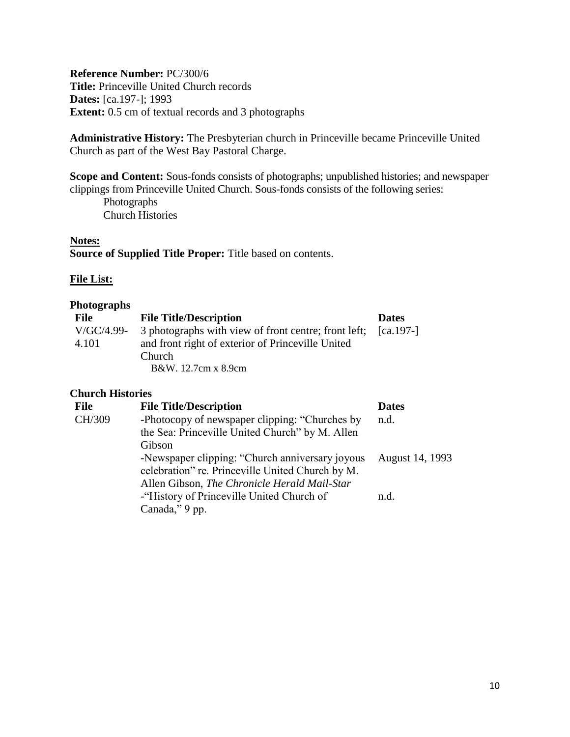<span id="page-9-0"></span>**Reference Number:** PC/300/6 **Title:** Princeville United Church records **Dates:** [ca.197-]; 1993 **Extent:** 0.5 cm of textual records and 3 photographs

**Administrative History:** The Presbyterian church in Princeville became Princeville United Church as part of the West Bay Pastoral Charge.

**Scope and Content:** Sous-fonds consists of photographs; unpublished histories; and newspaper clippings from Princeville United Church. Sous-fonds consists of the following series: Photographs

Church Histories

#### **Notes:**

**Source of Supplied Title Proper:** Title based on contents.

#### **File List:**

#### **Photographs**

| <b>File</b> | <b>File Title/Description</b>                                               | <b>Dates</b> |
|-------------|-----------------------------------------------------------------------------|--------------|
|             | $V/GC/4.99-$ 3 photographs with view of front centre; front left; [ca.197-] |              |
| 4.101       | and front right of exterior of Princeville United                           |              |
|             | <b>Church</b>                                                               |              |
|             | B&W. 12.7cm x 8.9cm                                                         |              |

| <b>File</b> | <b>File Title/Description</b>                                                                               | <b>Dates</b>    |
|-------------|-------------------------------------------------------------------------------------------------------------|-----------------|
| CH/309      | -Photocopy of newspaper clipping: "Churches by<br>the Sea: Princeville United Church" by M. Allen<br>Gibson | n.d.            |
|             | -Newspaper clipping: "Church anniversary joyous<br>celebration" re. Princeville United Church by M.         | August 14, 1993 |
|             | Allen Gibson, The Chronicle Herald Mail-Star<br>-"History of Princeville United Church of<br>Canada," 9 pp. | n.d.            |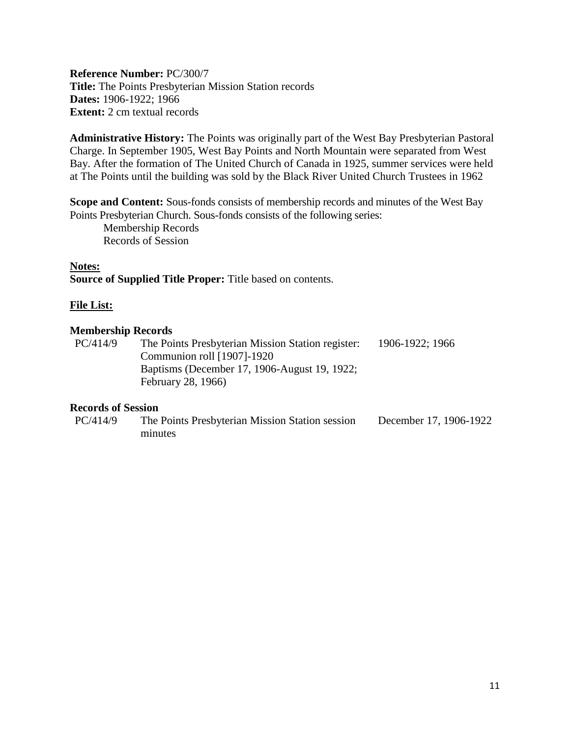<span id="page-10-0"></span>**Reference Number:** PC/300/7 **Title:** The Points Presbyterian Mission Station records **Dates:** 1906-1922; 1966 **Extent:** 2 cm textual records

**Administrative History:** The Points was originally part of the West Bay Presbyterian Pastoral Charge. In September 1905, West Bay Points and North Mountain were separated from West Bay. After the formation of The United Church of Canada in 1925, summer services were held at The Points until the building was sold by the Black River United Church Trustees in 1962

**Scope and Content:** Sous-fonds consists of membership records and minutes of the West Bay Points Presbyterian Church. Sous-fonds consists of the following series:

Membership Records Records of Session

#### **Notes:**

**Source of Supplied Title Proper:** Title based on contents.

#### **File List:**

#### **Membership Records**

| PC/414/9 | The Points Presbyterian Mission Station register:<br>Communion roll $[1907]$ -1920 | 1906-1922; 1966 |
|----------|------------------------------------------------------------------------------------|-----------------|
|          | Baptisms (December 17, 1906-August 19, 1922;<br>February 28, 1966)                 |                 |

#### **Records of Session**

| PC/414/9 | The Points Presbyterian Mission Station session | December 17, 1906-1922 |
|----------|-------------------------------------------------|------------------------|
|          | minutes                                         |                        |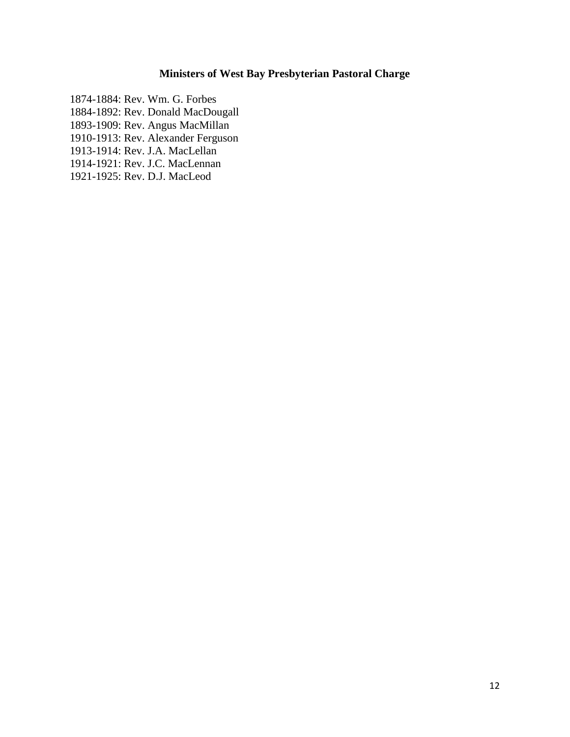## **Ministers of West Bay Presbyterian Pastoral Charge**

<span id="page-11-0"></span>1874-1884: Rev. Wm. G. Forbes 1884-1892: Rev. Donald MacDougall 1893-1909: Rev. Angus MacMillan 1910-1913: Rev. Alexander Ferguson 1913-1914: Rev. J.A. MacLellan

1914-1921: Rev. J.C. MacLennan

<span id="page-11-1"></span>1921-1925: Rev. D.J. MacLeod